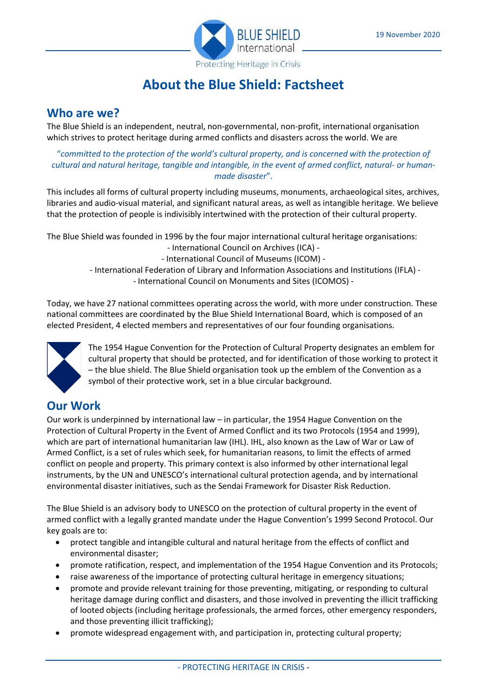

# **About the Blue Shield: Factsheet**

#### **Who are we?**

The Blue Shield is an independent, neutral, non-governmental, non-profit, international organisation which strives to protect heritage during armed conflicts and disasters across the world. We are

"*committed to the protection of the world's cultural property, and is concerned with the protection of cultural and natural heritage, tangible and intangible, in the event of armed conflict, natural- or humanmade disaster*".

This includes all forms of cultural property including museums, monuments, archaeological sites, archives, libraries and audio-visual material, and significant natural areas, as well as intangible heritage. We believe that the protection of people is indivisibly intertwined with the protection of their cultural property.

The Blue Shield was founded in 1996 by the four major international cultural heritage organisations:

- International Council on Archives (ICA) -
- International Council of Museums (ICOM) -
- International Federation of Library and Information Associations and Institutions (IFLA) -

- International Council on Monuments and Sites (ICOMOS) -

Today, we have 27 national committees operating across the world, with more under construction. These national committees are coordinated by the Blue Shield International Board, which is composed of an elected President, 4 elected members and representatives of our four founding organisations.



The 1954 Hague Convention for the Protection of Cultural Property designates an emblem for cultural property that should be protected, and for identification of those working to protect it – the blue shield. The Blue Shield organisation took up the emblem of the Convention as a symbol of their protective work, set in a blue circular background.

## **Our Work**

Our work is underpinned by international law – in particular, the 1954 Hague Convention on the Protection of Cultural Property in the Event of Armed Conflict and its two Protocols (1954 and 1999), which are part of international humanitarian law (IHL). IHL, also known as the Law of War or Law of Armed Conflict, is a set of rules which seek, for humanitarian reasons, to limit the effects of armed conflict on people and property. This primary context is also informed by other international legal instruments, by the UN and UNESCO's international cultural protection agenda, and by international environmental disaster initiatives, such as the Sendai Framework for Disaster Risk Reduction.

The Blue Shield is an advisory body to UNESCO on the protection of cultural property in the event of armed conflict with a legally granted mandate under the Hague Convention's 1999 Second Protocol. Our key goals are to:

- protect tangible and intangible cultural and natural heritage from the effects of conflict and environmental disaster;
- promote ratification, respect, and implementation of the 1954 Hague Convention and its Protocols;
- raise awareness of the importance of protecting cultural heritage in emergency situations;
- promote and provide relevant training for those preventing, mitigating, or responding to cultural heritage damage during conflict and disasters, and those involved in preventing the illicit trafficking of looted objects (including heritage professionals, the armed forces, other emergency responders, and those preventing illicit trafficking);
- promote widespread engagement with, and participation in, protecting cultural property;